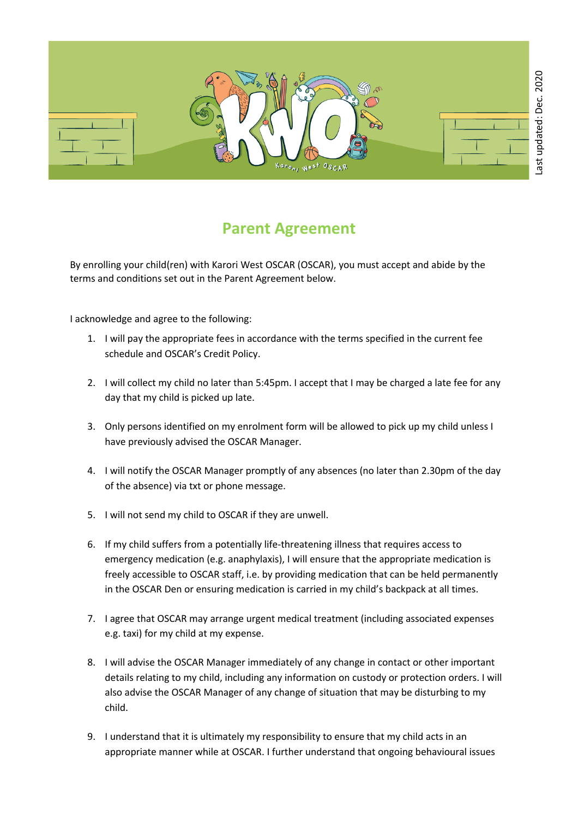

## **Parent Agreement**

By enrolling your child(ren) with Karori West OSCAR (OSCAR), you must accept and abide by the terms and conditions set out in the Parent Agreement below.

I acknowledge and agree to the following:

- 1. I will pay the appropriate fees in accordance with the terms specified in the current fee schedule and OSCAR's Credit Policy.
- 2. I will collect my child no later than 5:45pm. I accept that I may be charged a late fee for any day that my child is picked up late.
- 3. Only persons identified on my enrolment form will be allowed to pick up my child unless I have previously advised the OSCAR Manager.
- 4. I will notify the OSCAR Manager promptly of any absences (no later than 2.30pm of the day of the absence) via txt or phone message.
- 5. I will not send my child to OSCAR if they are unwell.
- 6. If my child suffers from a potentially life-threatening illness that requires access to emergency medication (e.g. anaphylaxis), I will ensure that the appropriate medication is freely accessible to OSCAR staff, i.e. by providing medication that can be held permanently in the OSCAR Den or ensuring medication is carried in my child's backpack at all times.
- 7. I agree that OSCAR may arrange urgent medical treatment (including associated expenses e.g. taxi) for my child at my expense.
- 8. I will advise the OSCAR Manager immediately of any change in contact or other important details relating to my child, including any information on custody or protection orders. I will also advise the OSCAR Manager of any change of situation that may be disturbing to my child.
- 9. I understand that it is ultimately my responsibility to ensure that my child acts in an appropriate manner while at OSCAR. I further understand that ongoing behavioural issues